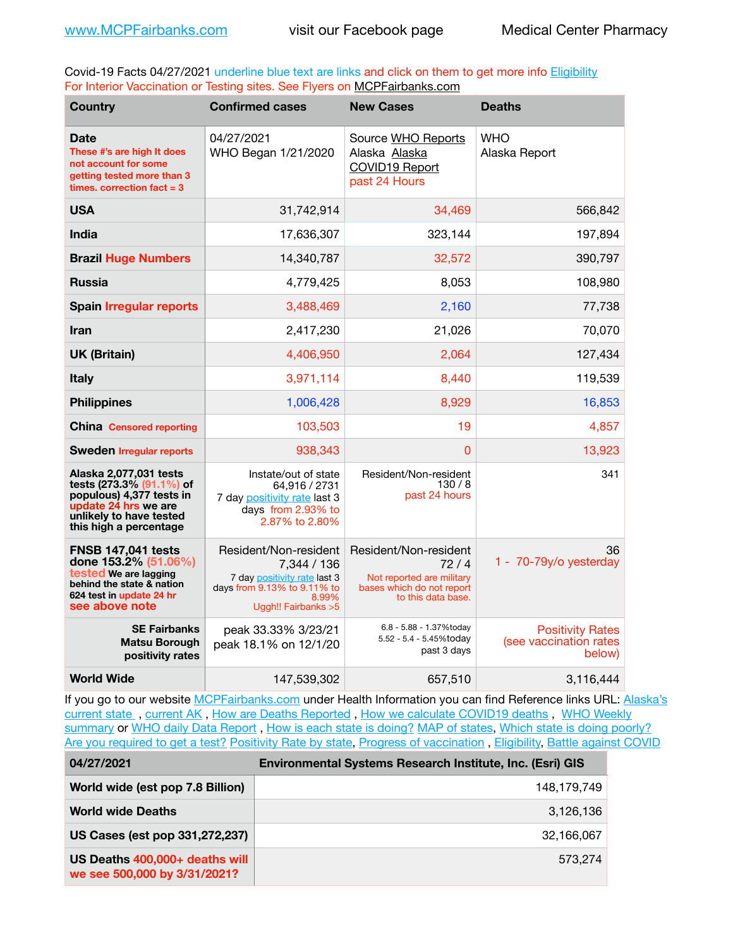Covid-19 Facts 04/27/2021 underline blue text are links and click on them to get more info **Eligibility** For Interior Vaccination or Testing sites. See Flyers on [MCPFairbanks.com](http://www.MCPFairbanks.com)

| <b>Country</b>                                                                                                                                              | <b>Confirmed cases</b>                                                                                                               | <b>New Cases</b>                                                                                              | <b>Deaths</b>                                               |
|-------------------------------------------------------------------------------------------------------------------------------------------------------------|--------------------------------------------------------------------------------------------------------------------------------------|---------------------------------------------------------------------------------------------------------------|-------------------------------------------------------------|
| <b>Date</b><br>These #'s are high It does<br>not account for some<br>getting tested more than 3<br>times. correction $fact = 3$                             | 04/27/2021<br>WHO Began 1/21/2020                                                                                                    | Source WHO Reports<br>Alaska Alaska<br><b>COVID19 Report</b><br>past 24 Hours                                 | WHO<br>Alaska Report                                        |
| <b>USA</b>                                                                                                                                                  | 31,742,914                                                                                                                           | 34,469                                                                                                        | 566,842                                                     |
| India                                                                                                                                                       | 17,636,307                                                                                                                           | 323,144                                                                                                       | 197,894                                                     |
| <b>Brazil Huge Numbers</b>                                                                                                                                  | 14,340,787                                                                                                                           | 32,572                                                                                                        | 390,797                                                     |
| <b>Russia</b>                                                                                                                                               | 4,779,425                                                                                                                            | 8,053                                                                                                         | 108,980                                                     |
| <b>Spain Irregular reports</b>                                                                                                                              | 3,488,469                                                                                                                            | 2,160                                                                                                         | 77,738                                                      |
| <b>Iran</b>                                                                                                                                                 | 2,417,230                                                                                                                            | 21,026                                                                                                        | 70,070                                                      |
| <b>UK (Britain)</b>                                                                                                                                         | 4,406,950                                                                                                                            | 2,064                                                                                                         | 127,434                                                     |
| <b>Italy</b>                                                                                                                                                | 3,971,114                                                                                                                            | 8,440                                                                                                         | 119,539                                                     |
| <b>Philippines</b>                                                                                                                                          | 1,006,428                                                                                                                            | 8,929                                                                                                         | 16,853                                                      |
| <b>China Censored reporting</b>                                                                                                                             | 103,503                                                                                                                              | 19                                                                                                            | 4,857                                                       |
| <b>Sweden Irregular reports</b>                                                                                                                             | 938,343                                                                                                                              | 0                                                                                                             | 13,923                                                      |
| Alaska 2,077,031 tests<br>tests (273.3% (91.1%) of<br>populous) 4,377 tests in<br>update 24 hrs we are<br>unlikely to have tested<br>this high a percentage | Instate/out of state<br>64,916 / 2731<br>7 day positivity rate last 3<br>days from 2.93% to<br>2.87% to 2.80%                        | Resident/Non-resident<br>130/8<br>past 24 hours                                                               | 341                                                         |
| <b>FNSB 147,041 tests</b><br>done 153.2% (51.06%)<br>tested We are lagging<br>behind the state & nation<br>624 test in update 24 hr<br>see above note       | Resident/Non-resident<br>7,344 / 136<br>7 day positivity rate last 3<br>days from 9.13% to 9.11% to<br>8.99%<br>Uggh!! Fairbanks > 5 | Resident/Non-resident<br>72/4<br>Not reported are military<br>bases which do not report<br>to this data base. | 36<br>1 - 70-79y/o yesterday                                |
| <b>SE Fairbanks</b><br><b>Matsu Borough</b><br>positivity rates                                                                                             | peak 33.33% 3/23/21<br>peak 18.1% on 12/1/20                                                                                         | 6.8 - 5.88 - 1.37%today<br>5.52 - 5.4 - 5.45%today<br>past 3 days                                             | <b>Positivity Rates</b><br>(see vaccination rates<br>below) |
| <b>World Wide</b>                                                                                                                                           | 147,539,302                                                                                                                          | 657,510                                                                                                       | 3,116,444                                                   |

If you go to our website [MCPFairbanks.com](http://www.MCPFairbanks.com) under Health Information you can find Reference links URL: Alaska's [current state](https://coronavirus-response-alaska-dhss.hub.arcgis.com) , [current AK](http://dhss.alaska.gov/dph/Epi/id/Pages/COVID-19/communications.aspx#cases) , [How are Deaths Reported](http://dhss.alaska.gov/dph/Epi/id/Pages/COVID-19/deathcounts.aspx) , [How we calculate COVID19 deaths](https://coronavirus-response-alaska-dhss.hub.arcgis.com/search?collection=Document&groupIds=41ccb3344ebc4bd682c74073eba21f42) , [WHO Weekly](http://www.who.int)  [summary](http://www.who.int) or [WHO daily Data Report](https://covid19.who.int/table), [How is each state is doing?](https://www.msn.com/en-us/news/us/state-by-state-coronavirus-news/ar-BB13E1PX?fbclid=IwAR0_OBJH7lSyTN3ug_MsOeFnNgB1orTa9OBgilKJ7dhnwlVvHEsptuKkj1c) [MAP of states,](https://www.nationalgeographic.com/science/graphics/graphic-tracking-coronavirus-infections-us?cmpid=org=ngp::mc=crm-email::src=ngp::cmp=editorial::add=SpecialEdition_20210305&rid=B9A6DF5992658E8E35CE023113CFEA4C) [Which state is doing poorly?](https://bestlifeonline.com/covid-outbreak-your-state/?utm_source=nsltr&utm_medium=email&utm_content=covid-outbreak-your-state&utm_campaign=launch) [Are you required to get a test?](http://dhss.alaska.gov/dph/Epi/id/SiteAssets/Pages/HumanCoV/Whattodoafteryourtest.pdf) [Positivity Rate by state](https://coronavirus.jhu.edu/testing/individual-states/alaska), Progress of vaccination, [Eligibility,](http://dhss.alaska.gov/dph/Epi/id/Pages/COVID-19/VaccineAvailability.aspx) [Battle against COVID](https://www.nationalgeographic.com/science/graphics/graphic-tracking-coronavirus-infections-us?cmpid=org=ngp::mc=crm-email::src=ngp::cmp=editorial::add=SpecialEdition_20210219&rid=B9A6DF5992658E8E35CE023113CFEA4C)

| 04/27/2021                                                     | Environmental Systems Research Institute, Inc. (Esri) GIS |
|----------------------------------------------------------------|-----------------------------------------------------------|
| World wide (est pop 7.8 Billion)                               | 148,179,749                                               |
| <b>World wide Deaths</b>                                       | 3,126,136                                                 |
| US Cases (est pop 331,272,237)                                 | 32.166.067                                                |
| US Deaths 400,000+ deaths will<br>we see 500,000 by 3/31/2021? | 573.274                                                   |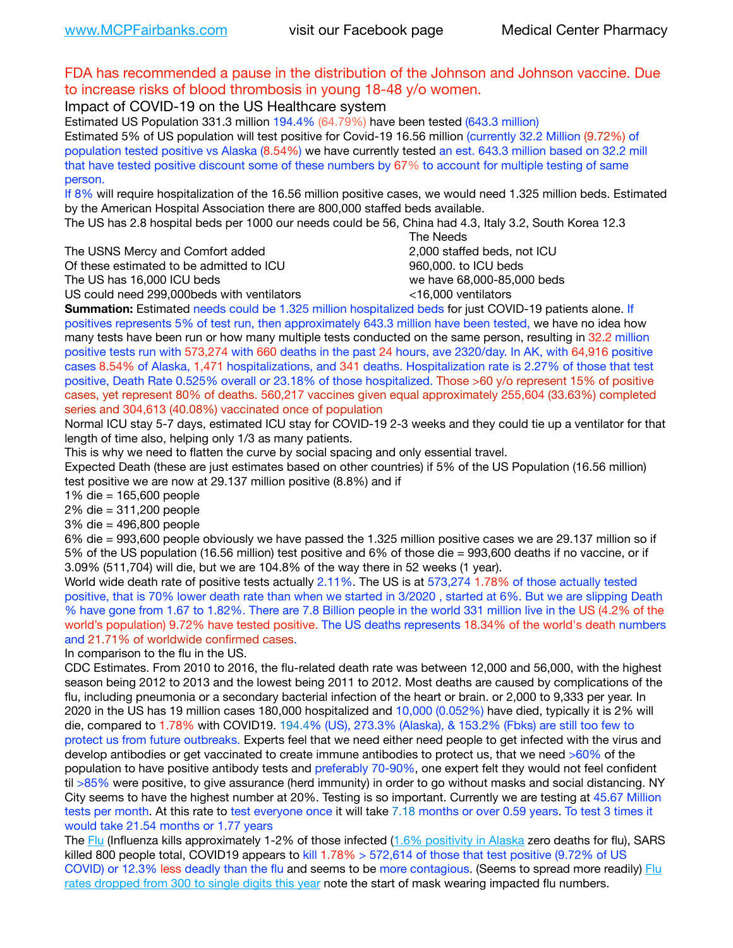## FDA has recommended a pause in the distribution of the Johnson and Johnson vaccine. Due to increase risks of blood thrombosis in young 18-48 y/o women.

Impact of COVID-19 on the US Healthcare system

Estimated US Population 331.3 million 194.4% (64.79%) have been tested (643.3 million) Estimated 5% of US population will test positive for Covid-19 16.56 million (currently 32.2 Million (9.72%) of population tested positive vs Alaska (8.54%) we have currently tested an est. 643.3 million based on 32.2 mill that have tested positive discount some of these numbers by 67% to account for multiple testing of same person.

If 8% will require hospitalization of the 16.56 million positive cases, we would need 1.325 million beds. Estimated by the American Hospital Association there are 800,000 staffed beds available.

The US has 2.8 hospital beds per 1000 our needs could be 56, China had 4.3, Italy 3.2, South Korea 12.3

The USNS Mercy and Comfort added 2,000 staffed beds, not ICU

Of these estimated to be admitted to ICU **860,000**, to ICU beds

 The Needs The US has 16,000 ICU beds we have 68,000-85,000 beds

US could need 299,000 beds with ventilators  $\leq$ 16,000 ventilators

**Summation:** Estimated needs could be 1.325 million hospitalized beds for just COVID-19 patients alone. If positives represents 5% of test run, then approximately 643.3 million have been tested, we have no idea how many tests have been run or how many multiple tests conducted on the same person, resulting in 32.2 million positive tests run with 573,274 with 660 deaths in the past 24 hours, ave 2320/day. In AK, with 64,916 positive cases 8.54% of Alaska, 1,471 hospitalizations, and 341 deaths. Hospitalization rate is 2.27% of those that test positive, Death Rate 0.525% overall or 23.18% of those hospitalized. Those >60 y/o represent 15% of positive cases, yet represent 80% of deaths. 560,217 vaccines given equal approximately 255,604 (33.63%) completed series and 304,613 (40.08%) vaccinated once of population

Normal ICU stay 5-7 days, estimated ICU stay for COVID-19 2-3 weeks and they could tie up a ventilator for that length of time also, helping only 1/3 as many patients.

This is why we need to flatten the curve by social spacing and only essential travel.

Expected Death (these are just estimates based on other countries) if 5% of the US Population (16.56 million) test positive we are now at 29.137 million positive (8.8%) and if

1% die = 165,600 people

2% die = 311,200 people

3% die = 496,800 people

6% die = 993,600 people obviously we have passed the 1.325 million positive cases we are 29.137 million so if 5% of the US population (16.56 million) test positive and 6% of those die = 993,600 deaths if no vaccine, or if 3.09% (511,704) will die, but we are 104.8% of the way there in 52 weeks (1 year).

World wide death rate of positive tests actually 2.11%. The US is at 573,274 1.78% of those actually tested positive, that is 70% lower death rate than when we started in 3/2020 , started at 6%. But we are slipping Death % have gone from 1.67 to 1.82%. There are 7.8 Billion people in the world 331 million live in the US (4.2% of the world's population) 9.72% have tested positive. The US deaths represents 18.34% of the world's death numbers and 21.71% of worldwide confirmed cases.

In comparison to the flu in the US.

CDC Estimates. From 2010 to 2016, the flu-related death rate was between 12,000 and 56,000, with the highest season being 2012 to 2013 and the lowest being 2011 to 2012. Most deaths are caused by complications of the flu, including pneumonia or a secondary bacterial infection of the heart or brain. or 2,000 to 9,333 per year. In 2020 in the US has 19 million cases 180,000 hospitalized and 10,000 (0.052%) have died, typically it is 2% will die, compared to 1.78% with COVID19. 194.4% (US), 273.3% (Alaska), & 153.2% (Fbks) are still too few to protect us from future outbreaks. Experts feel that we need either need people to get infected with the virus and develop antibodies or get vaccinated to create immune antibodies to protect us, that we need >60% of the population to have positive antibody tests and preferably 70-90%, one expert felt they would not feel confident til >85% were positive, to give assurance (herd immunity) in order to go without masks and social distancing. NY City seems to have the highest number at 20%. Testing is so important. Currently we are testing at 45.67 Million tests per month. At this rate to test everyone once it will take 7.18 months or over 0.59 years. To test 3 times it would take 21.54 months or 1.77 years

The [Flu](https://lnks.gd/l/eyJhbGciOiJIUzI1NiJ9.eyJidWxsZXRpbl9saW5rX2lkIjoxMDMsInVyaSI6ImJwMjpjbGljayIsImJ1bGxldGluX2lkIjoiMjAyMTAyMjYuMzYwNDA3NTEiLCJ1cmwiOiJodHRwczovL3d3dy5jZGMuZ292L2ZsdS93ZWVrbHkvb3ZlcnZpZXcuaHRtIn0.ePMA_hsZ-pTnhWSyg1gHvHWYTu2XceVOt0JejxvP1WE/s/500544915/br/98428119752-l) (Influenza kills approximately 1-2% of those infected ([1.6% positivity in Alaska](http://dhss.alaska.gov/dph/Epi/id/SiteAssets/Pages/influenza/trends/Snapshot.pdf) zero deaths for flu), SARS killed 800 people total, COVID19 appears to kill  $1.78\% > 572,614$  of those that test positive (9.72% of US COVID) or 12.3% less deadly than the flu and seems to be more contagious. (Seems to spread more readily) Flu [rates dropped from 300 to single digits this year](https://lnks.gd/l/eyJhbGciOiJIUzI1NiJ9.eyJidWxsZXRpbl9saW5rX2lkIjoxMDEsInVyaSI6ImJwMjpjbGljayIsImJ1bGxldGluX2lkIjoiMjAyMTAyMjYuMzYwNDA3NTEiLCJ1cmwiOiJodHRwOi8vZGhzcy5hbGFza2EuZ292L2RwaC9FcGkvaWQvUGFnZXMvaW5mbHVlbnphL2ZsdWluZm8uYXNweCJ9.oOe3nt2fww6XpsNhb4FZfmtPfPa-irGaldpkURBJhSo/s/500544915/br/98428119752-l) note the start of mask wearing impacted flu numbers.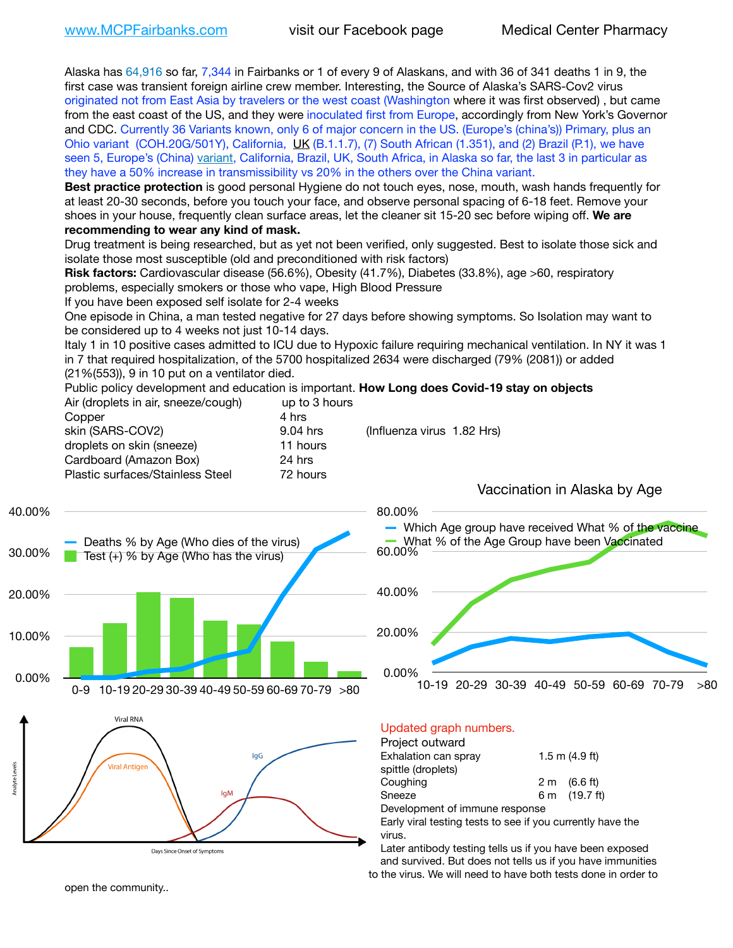Alaska has 64,916 so far, 7,344 in Fairbanks or 1 of every 9 of Alaskans, and with 36 of 341 deaths 1 in 9, the first case was transient foreign airline crew member. Interesting, the Source of Alaska's SARS-Cov2 virus originated not from East Asia by travelers or the west coast (Washington where it was first observed) , but came from the east coast of the US, and they were inoculated first from Europe, accordingly from New York's Governor and CDC. Currently 36 Variants known, only 6 of major concern in the US. (Europe's (china's)) Primary, plus an Ohio variant (COH.20G/501Y), California, [UK](https://www.cdc.gov/coronavirus/2019-ncov/transmission/variant-cases.html) (B.1.1.7), (7) South African (1.351), and (2) Brazil (P.1), we have seen 5, Europe's (China) [variant,](https://www.webmd.com/lung/news/20210318/cdc-who-create-threat-levels-for-covid-variants?ecd=wnl_cvd_031921&ctr=wnl-cvd-031921&mb=kYbf7DsHb7YGjh/1RUkcAW0T6iorImAU1TDZh18RYs0=_Support_titleLink_2) California, Brazil, UK, South Africa, in Alaska so far, the last 3 in particular as they have a 50% increase in transmissibility vs 20% in the others over the China variant.

**Best practice protection** is good personal Hygiene do not touch eyes, nose, mouth, wash hands frequently for at least 20-30 seconds, before you touch your face, and observe personal spacing of 6-18 feet. Remove your shoes in your house, frequently clean surface areas, let the cleaner sit 15-20 sec before wiping off. **We are recommending to wear any kind of mask.**

Drug treatment is being researched, but as yet not been verified, only suggested. Best to isolate those sick and isolate those most susceptible (old and preconditioned with risk factors)

**Risk factors:** Cardiovascular disease (56.6%), Obesity (41.7%), Diabetes (33.8%), age >60, respiratory problems, especially smokers or those who vape, High Blood Pressure

If you have been exposed self isolate for 2-4 weeks

One episode in China, a man tested negative for 27 days before showing symptoms. So Isolation may want to be considered up to 4 weeks not just 10-14 days.

Italy 1 in 10 positive cases admitted to ICU due to Hypoxic failure requiring mechanical ventilation. In NY it was 1 in 7 that required hospitalization, of the 5700 hospitalized 2634 were discharged (79% (2081)) or added (21%(553)), 9 in 10 put on a ventilator died.

Public policy development and education is important. **How Long does Covid-19 stay on objects** Air (droplets in air, sneeze/cough) up to 3 hours

| All juriplets in all, slieeze/cought | ap to o hours |                            |
|--------------------------------------|---------------|----------------------------|
| Copper                               | 4 hrs         |                            |
| skin (SARS-COV2)                     | 9.04 hrs      | (Influenza virus 1.82 Hrs) |
| droplets on skin (sneeze)            | 11 hours      |                            |
| Cardboard (Amazon Box)               | 24 hrs        |                            |
| Plastic surfaces/Stainless Steel     | 72 hours      |                            |
|                                      |               |                            |







Vaccination in Alaska by Age

### Updated graph numbers.

#### Project outward

| Exhalation can spray           | $1.5$ m $(4.9$ ft)     |
|--------------------------------|------------------------|
| spittle (droplets)             |                        |
| Coughing                       | $2 \text{ m}$ (6.6 ft) |
| Sneeze                         | 6 m (19.7 ft)          |
| Development of immune response |                        |

Early viral testing tests to see if you currently have the virus.

Later antibody testing tells us if you have been exposed and survived. But does not tells us if you have immunities to the virus. We will need to have both tests done in order to

open the community..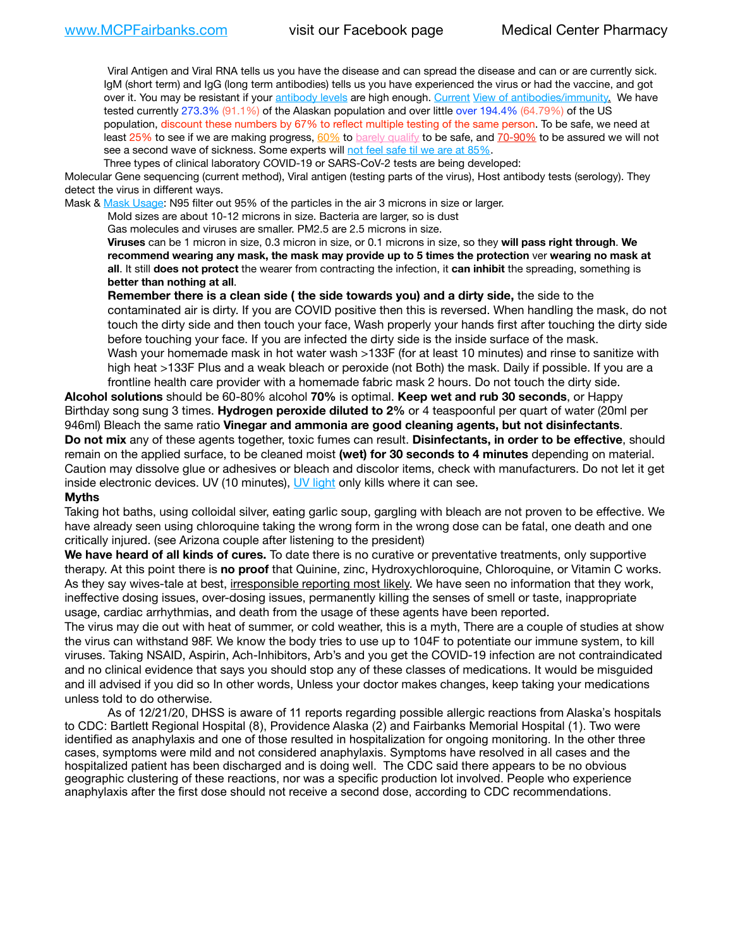Viral Antigen and Viral RNA tells us you have the disease and can spread the disease and can or are currently sick. IgM (short term) and IgG (long term antibodies) tells us you have experienced the virus or had the vaccine, and got over it. You may be resistant if your [antibody levels](https://www.cdc.gov/coronavirus/2019-ncov/lab/resources/antibody-tests.html) are high enough. [Current](https://l.facebook.com/l.php?u=https://www.itv.com/news/2020-10-26/covid-19-antibody-levels-reduce-over-time-study-finds?fbclid=IwAR3Dapzh1qIH1EIOdUQI2y8THf7jfA4KBCaJz8Qg-8xe1YsrR4nsAHDIXSY&h=AT30nut8pkqp0heVuz5W2rT2WFFm-2Ab52BsJxZZCNlGsX58IpPkuVEPULbIUV_M16MAukx1Kwb657DPXxsgDN1rpOQ4gqBtQsmVYiWpnHPJo2RQsU6CPMd14lgLnQnFWxfVi6zvmw&__tn__=-UK-R&c%5B0%5D=AT1GaRAfR_nGAyqcn7TI1-PpvqOqEKXHnz6TDWvRStMnOSH7boQDvTiwTOc6VId9UES6LKiOmm2m88wKCoolkJyOFvakt2Z1Mw8toYWGGoWW23r0MNVBl7cYJXB_UOvGklNHaNnaNr1_S7NhT3BSykNOBg) [View of antibodies/immunity](https://www.livescience.com/antibodies.html)[.](https://www.itv.com/news/2020-10-26/covid-19-antibody-levels-reduce-over-time-study-finds) We have tested currently 273.3% (91.1%) of the Alaskan population and over little over 194.4% (64.79%) of the US population, discount these numbers by 67% to reflect multiple testing of the same person. To be safe, we need at least 25% to see if we are making progress, [60%](https://www.jhsph.edu/covid-19/articles/achieving-herd-immunity-with-covid19.html) to [barely qualify](https://www.nature.com/articles/d41586-020-02948-4) to be safe, and [70-90%](https://www.mayoclinic.org/herd-immunity-and-coronavirus/art-20486808) to be assured we will not see a second wave of sickness. Some experts will [not feel safe til we are at 85%.](https://www.bannerhealth.com/healthcareblog/teach-me/what-is-herd-immunity)

Three types of clinical laboratory COVID-19 or SARS-CoV-2 tests are being developed:

Molecular Gene sequencing (current method), Viral antigen (testing parts of the virus), Host antibody tests (serology). They detect the virus in different ways.

Mask & [Mask Usage:](https://www.nationalgeographic.com/history/2020/03/how-cities-flattened-curve-1918-spanish-flu-pandemic-coronavirus/) N95 filter out 95% of the particles in the air 3 microns in size or larger.

Mold sizes are about 10-12 microns in size. Bacteria are larger, so is dust

Gas molecules and viruses are smaller. PM2.5 are 2.5 microns in size.

**Viruses** can be 1 micron in size, 0.3 micron in size, or 0.1 microns in size, so they **will pass right through**. **We recommend wearing any mask, the mask may provide up to 5 times the protection** ver **wearing no mask at all**. It still **does not protect** the wearer from contracting the infection, it **can inhibit** the spreading, something is **better than nothing at all**.

**Remember there is a clean side ( the side towards you) and a dirty side,** the side to the contaminated air is dirty. If you are COVID positive then this is reversed. When handling the mask, do not touch the dirty side and then touch your face, Wash properly your hands first after touching the dirty side before touching your face. If you are infected the dirty side is the inside surface of the mask. Wash your homemade mask in hot water wash >133F (for at least 10 minutes) and rinse to sanitize with high heat >133F Plus and a weak bleach or peroxide (not Both) the mask. Daily if possible. If you are a frontline health care provider with a homemade fabric mask 2 hours. Do not touch the dirty side.

**Alcohol solutions** should be 60-80% alcohol **70%** is optimal. **Keep wet and rub 30 seconds**, or Happy Birthday song sung 3 times. **Hydrogen peroxide diluted to 2%** or 4 teaspoonful per quart of water (20ml per 946ml) Bleach the same ratio **Vinegar and ammonia are good cleaning agents, but not disinfectants**. **Do not mix** any of these agents together, toxic fumes can result. **Disinfectants, in order to be effective**, should remain on the applied surface, to be cleaned moist **(wet) for 30 seconds to 4 minutes** depending on material. Caution may dissolve glue or adhesives or bleach and discolor items, check with manufacturers. Do not let it get inside electronic devices. UV (10 minutes), [UV light](http://www.docreviews.me/best-uv-boxes-2020/?fbclid=IwAR3bvFtXB48OoBBSvYvTEnKuHNPbipxM6jUo82QUSw9wckxjC7wwRZWabGw) only kills where it can see.

#### **Myths**

Taking hot baths, using colloidal silver, eating garlic soup, gargling with bleach are not proven to be effective. We have already seen using chloroquine taking the wrong form in the wrong dose can be fatal, one death and one critically injured. (see Arizona couple after listening to the president)

**We have heard of all kinds of cures.** To date there is no curative or preventative treatments, only supportive therapy. At this point there is **no proof** that Quinine, zinc, Hydroxychloroquine, Chloroquine, or Vitamin C works. As they say wives-tale at best, irresponsible reporting most likely. We have seen no information that they work, ineffective dosing issues, over-dosing issues, permanently killing the senses of smell or taste, inappropriate usage, cardiac arrhythmias, and death from the usage of these agents have been reported.

The virus may die out with heat of summer, or cold weather, this is a myth, There are a couple of studies at show the virus can withstand 98F. We know the body tries to use up to 104F to potentiate our immune system, to kill viruses. Taking NSAID, Aspirin, Ach-Inhibitors, Arb's and you get the COVID-19 infection are not contraindicated and no clinical evidence that says you should stop any of these classes of medications. It would be misguided and ill advised if you did so In other words, Unless your doctor makes changes, keep taking your medications unless told to do otherwise.

As of 12/21/20, DHSS is aware of 11 reports regarding possible allergic reactions from Alaska's hospitals to CDC: Bartlett Regional Hospital (8), Providence Alaska (2) and Fairbanks Memorial Hospital (1). Two were identified as anaphylaxis and one of those resulted in hospitalization for ongoing monitoring. In the other three cases, symptoms were mild and not considered anaphylaxis. Symptoms have resolved in all cases and the hospitalized patient has been discharged and is doing well. The CDC said there appears to be no obvious geographic clustering of these reactions, nor was a specific production lot involved. People who experience anaphylaxis after the first dose should not receive a second dose, according to CDC recommendations.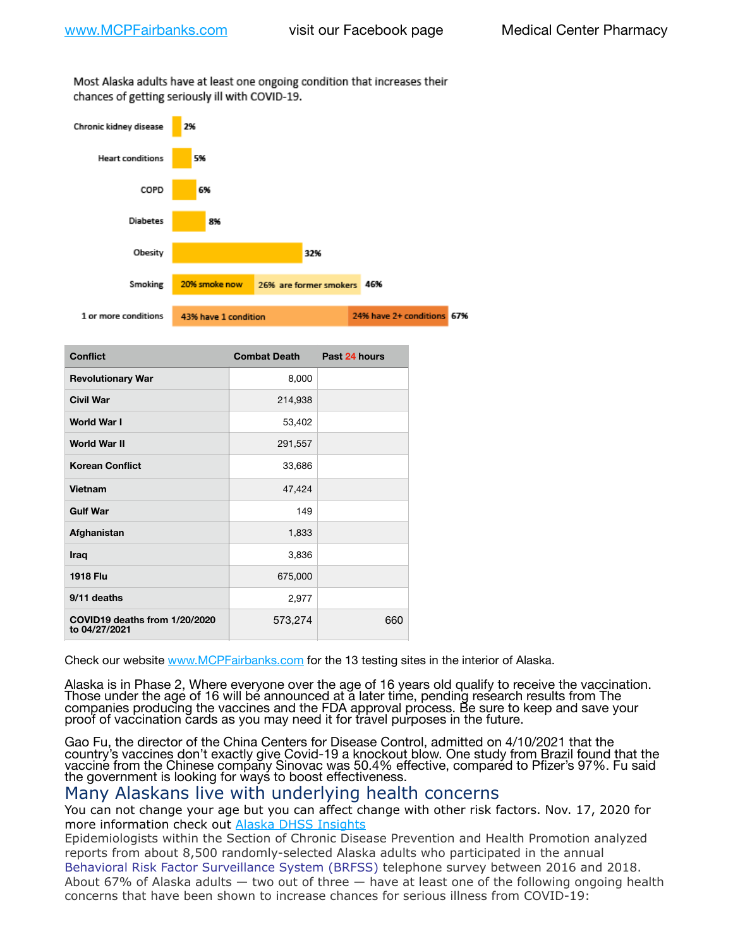Most Alaska adults have at least one ongoing condition that increases their chances of getting seriously ill with COVID-19.



| <b>Conflict</b>                                | <b>Combat Death</b> | Past 24 hours |
|------------------------------------------------|---------------------|---------------|
| <b>Revolutionary War</b>                       | 8,000               |               |
| <b>Civil War</b>                               | 214,938             |               |
| <b>World War I</b>                             | 53,402              |               |
| <b>World War II</b>                            | 291,557             |               |
| <b>Korean Conflict</b>                         | 33,686              |               |
| Vietnam                                        | 47,424              |               |
| <b>Gulf War</b>                                | 149                 |               |
| Afghanistan                                    | 1,833               |               |
| Iraq                                           | 3,836               |               |
| <b>1918 Flu</b>                                | 675,000             |               |
| 9/11 deaths                                    | 2,977               |               |
| COVID19 deaths from 1/20/2020<br>to 04/27/2021 | 573,274             | 660           |

Check our website [www.MCPFairbanks.com](http://www.MCPFairbanks.com) for the 13 testing sites in the interior of Alaska.

Alaska is in Phase 2, Where everyone over the age of 16 years old qualify to receive the vaccination. Those under the age of 16 will be announced at a later time, pending research results from The companies producing the vaccines and the FDA approval process. Be sure to keep and save your proof of vaccination cards as you may need it for travel purposes in the future.

Gao Fu, the director of the China Centers for Disease Control, admitted on 4/10/2021 that the country's vaccines don't exactly give Covid-19 a knockout blow. One study from Brazil found that the vaccine from the Chinese company Sinovac was 50.4% effective, compared to Pfizer's 97%. Fu said the government is looking for ways to boost effectiveness.

## Many Alaskans live with underlying health concerns

You can not change your age but you can affect change with other risk factors. Nov. 17, 2020 for more information check out [Alaska DHSS Insights](http://dhss.alaska.gov/dph/Epi/id/Pages/COVID-19/blog/20201117.aspx)

Epidemiologists within the Section of Chronic Disease Prevention and Health Promotion analyzed reports from about 8,500 randomly-selected Alaska adults who participated in the annual [Behavioral Risk Factor Surveillance System \(BRFSS\)](http://dhss.alaska.gov/dph/Chronic/Pages/brfss/default.aspx) telephone survey between 2016 and 2018. About 67% of Alaska adults — two out of three — have at least one of the following ongoing health concerns that have been shown to increase chances for serious illness from COVID-19: